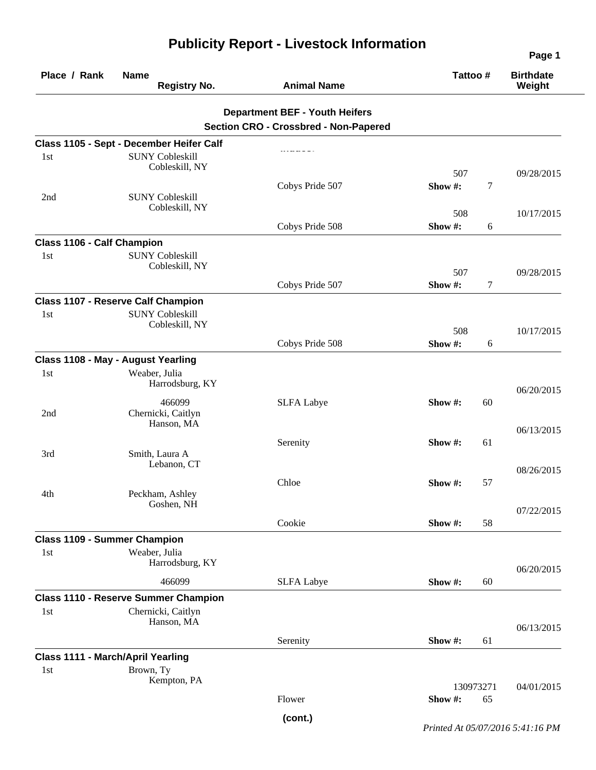| Place / Rank                               | <b>Name</b><br><b>Registry No.</b>                                                    | <b>Animal Name</b>                                                                    | Tattoo#        |                | <b>Birthdate</b><br>Weight |
|--------------------------------------------|---------------------------------------------------------------------------------------|---------------------------------------------------------------------------------------|----------------|----------------|----------------------------|
|                                            |                                                                                       | <b>Department BEF - Youth Heifers</b><br><b>Section CRO - Crossbred - Non-Papered</b> |                |                |                            |
|                                            | Class 1105 - Sept - December Heifer Calf                                              |                                                                                       |                |                |                            |
| 1st                                        | <b>SUNY Cobleskill</b><br>Cobleskill, NY                                              |                                                                                       | 507            |                | 09/28/2015                 |
| 2nd                                        | <b>SUNY Cobleskill</b>                                                                | Cobys Pride 507                                                                       | Show #:        | $\overline{7}$ |                            |
|                                            | Cobleskill, NY                                                                        | Cobys Pride 508                                                                       | 508<br>Show #: | 6              | 10/17/2015                 |
| Class 1106 - Calf Champion                 |                                                                                       |                                                                                       |                |                |                            |
| 1st                                        | <b>SUNY Cobleskill</b><br>Cobleskill, NY                                              |                                                                                       | 507            |                | 09/28/2015                 |
|                                            |                                                                                       | Cobys Pride 507                                                                       | Show#:         | 7              |                            |
| 1 <sub>st</sub>                            | <b>Class 1107 - Reserve Calf Champion</b><br><b>SUNY Cobleskill</b><br>Cobleskill, NY |                                                                                       |                |                |                            |
|                                            |                                                                                       | Cobys Pride 508                                                                       | 508<br>Show #: | 6              | 10/17/2015                 |
|                                            | Class 1108 - May - August Yearling                                                    |                                                                                       |                |                |                            |
| 1st                                        | Weaber, Julia<br>Harrodsburg, KY                                                      |                                                                                       |                |                | 06/20/2015                 |
| 2nd                                        | 466099<br>Chernicki, Caitlyn<br>Hanson, MA                                            | <b>SLFA Labye</b>                                                                     | Show #:        | 60             |                            |
| 3rd                                        | Smith, Laura A                                                                        | Serenity                                                                              | Show #:        | 61             | 06/13/2015                 |
|                                            | Lebanon, CT                                                                           | Chloe                                                                                 | Show #:        | 57             | 08/26/2015                 |
| 4th                                        | Peckham, Ashley<br>Goshen, NH                                                         |                                                                                       |                |                | 07/22/2015                 |
|                                            |                                                                                       | Cookie                                                                                | Show #:        | 58             |                            |
| <b>Class 1109 - Summer Champion</b><br>1st | Weaber, Julia<br>Harrodsburg, KY                                                      |                                                                                       |                |                | 06/20/2015                 |
|                                            | 466099                                                                                | <b>SLFA Labye</b>                                                                     | Show #:        | 60             |                            |
|                                            | <b>Class 1110 - Reserve Summer Champion</b>                                           |                                                                                       |                |                |                            |
| 1st                                        | Chernicki, Caitlyn<br>Hanson, MA                                                      |                                                                                       |                |                | 06/13/2015                 |
|                                            |                                                                                       | Serenity                                                                              | Show #:        | 61             |                            |
| <b>Class 1111 - March/April Yearling</b>   |                                                                                       |                                                                                       |                |                |                            |
| 1st                                        | Brown, Ty<br>Kempton, PA                                                              |                                                                                       | 130973271      |                | 04/01/2015                 |
|                                            |                                                                                       | Flower                                                                                | Show #:        | 65             |                            |
|                                            |                                                                                       | (cont.)                                                                               |                |                |                            |

## **Publicity Report - Livestock Information**

*Printed At 05/07/2016 5:41:16 PM*

**Page 1**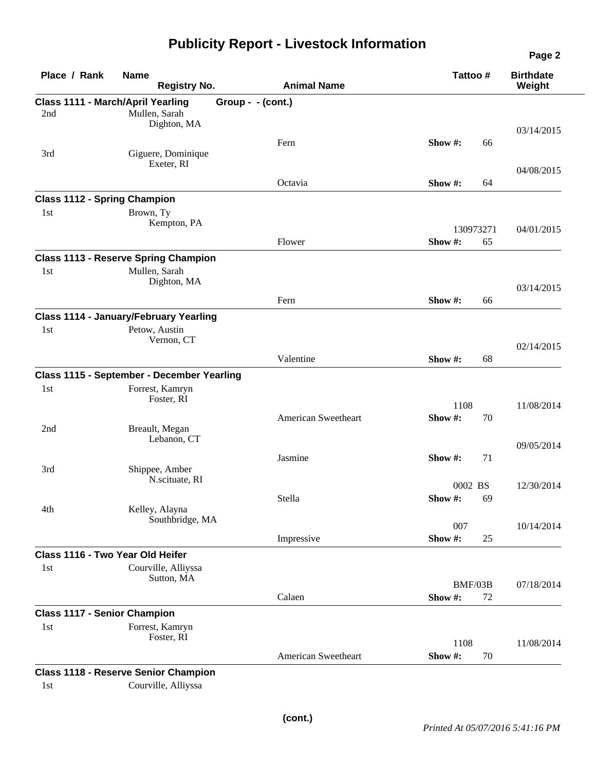## **Publicity Report - Livestock Information**

| Place / Rank                        | <b>Name</b><br><b>Registry No.</b>                        | <b>Animal Name</b>  | Tattoo#       | <b>Birthdate</b><br>Weight |
|-------------------------------------|-----------------------------------------------------------|---------------------|---------------|----------------------------|
| 2nd                                 | <b>Class 1111 - March/April Yearling</b><br>Mullen, Sarah | Group - - (cont.)   |               |                            |
|                                     | Dighton, MA                                               |                     |               | 03/14/2015                 |
|                                     |                                                           | Fern                | Show #:<br>66 |                            |
| 3rd                                 | Giguere, Dominique<br>Exeter, RI                          |                     |               |                            |
|                                     |                                                           |                     |               | 04/08/2015                 |
|                                     |                                                           | Octavia             | Show #:<br>64 |                            |
| <b>Class 1112 - Spring Champion</b> |                                                           |                     |               |                            |
| 1st                                 | Brown, Ty<br>Kempton, PA                                  |                     |               |                            |
|                                     |                                                           |                     | 130973271     | 04/01/2015                 |
|                                     |                                                           | Flower              | Show #:<br>65 |                            |
|                                     | <b>Class 1113 - Reserve Spring Champion</b>               |                     |               |                            |
| 1st                                 | Mullen, Sarah                                             |                     |               |                            |
|                                     | Dighton, MA                                               |                     |               | 03/14/2015                 |
|                                     |                                                           | Fern                | Show #:<br>66 |                            |
|                                     | <b>Class 1114 - January/February Yearling</b>             |                     |               |                            |
| 1st                                 | Petow, Austin                                             |                     |               |                            |
|                                     | Vernon, CT                                                |                     |               | 02/14/2015                 |
|                                     |                                                           | Valentine           | Show #:<br>68 |                            |
|                                     | Class 1115 - September - December Yearling                |                     |               |                            |
| 1st                                 | Forrest, Kamryn                                           |                     |               |                            |
|                                     | Foster, RI                                                |                     | 1108          | 11/08/2014                 |
|                                     |                                                           | American Sweetheart | Show#:<br>70  |                            |
| 2nd                                 | Breault, Megan                                            |                     |               |                            |
|                                     | Lebanon, CT                                               |                     |               | 09/05/2014                 |
|                                     |                                                           | Jasmine             | Show #:<br>71 |                            |
| 3rd                                 | Shippee, Amber                                            |                     |               |                            |
|                                     | N.scituate, RI                                            |                     | 0002 BS       | 12/30/2014                 |
|                                     |                                                           | Stella              | Show #:<br>69 |                            |
| 4th                                 | Kelley, Alayna<br>Southbridge, MA                         |                     |               |                            |
|                                     |                                                           |                     | 007           | 10/14/2014                 |
|                                     |                                                           | Impressive          | Show #:<br>25 |                            |
|                                     | Class 1116 - Two Year Old Heifer                          |                     |               |                            |
| 1st                                 | Courville, Alliyssa                                       |                     |               |                            |
|                                     | Sutton, MA                                                |                     | BMF/03B       | 07/18/2014                 |
|                                     |                                                           | Calaen              | Show #:<br>72 |                            |
| <b>Class 1117 - Senior Champion</b> |                                                           |                     |               |                            |
| 1st                                 | Forrest, Kamryn                                           |                     |               |                            |
|                                     | Foster, RI                                                |                     | 1108          | 11/08/2014                 |
|                                     |                                                           | American Sweetheart | Show #:<br>70 |                            |
|                                     | <b>Class 1118 - Reserve Senior Champion</b>               |                     |               |                            |
| 1st                                 | Courville, Alliyssa                                       |                     |               |                            |
|                                     |                                                           |                     |               |                            |

**Page 2**